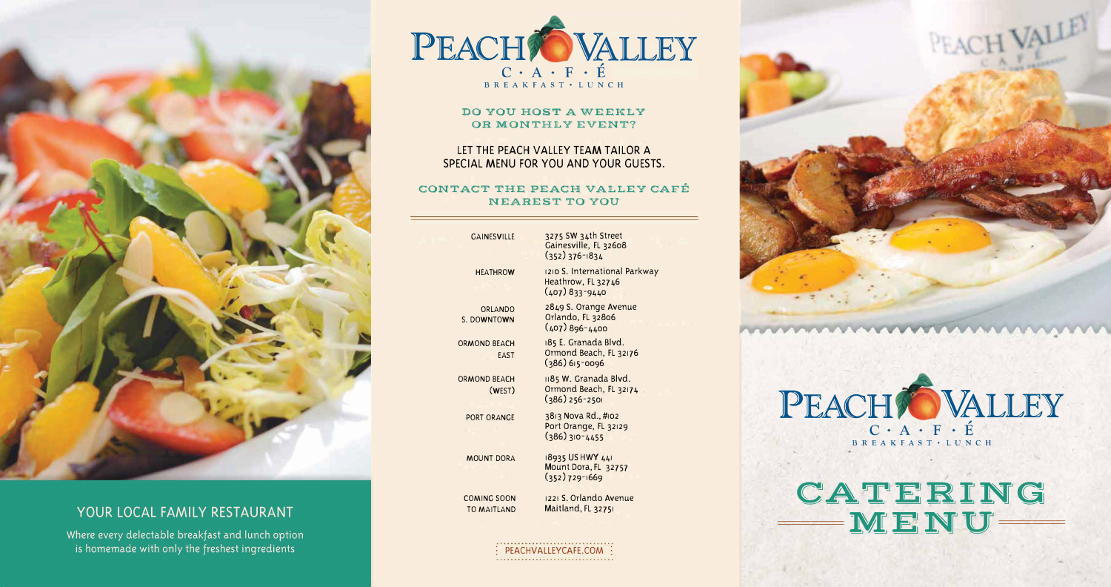

# YOUR LOCAL FAMILY RESTAURANT

Where every delectable breakfast and lunch option is homemade with only the freshest ingredients



## **DO YOU HOST A WEEKLY OR MONTHLY EVENT?**

## **CONTACT THE PEACH VALLEY CAFÉ NEAREST TO YOU**

# LET THE PEACH VALLEY TEAM TAILOR A SPECIAL MENU FOR YOU AND YOUR GUESTS.

GAINESVILLE

HEATHROW

ORLANDO S. DOWNTOWN

ORMOND BEACH EAST

ORMOND BEACH (WEST)

PORT ORANGE

MOUNT DORA

3275 SW 34th Street Gainesville, FL 32608 (352) 376-1834

1210 S. International Parkway

#### \*\*\*\*\*\*\*\*\*\*\*\*\*\*\*\*\*\*\*\*\*\*\*\*\*\*\*\*\*\*\*\* : PEACHVALLEYCAFE.COM :

Heathrow, FL 327 46 ( 407) 833-9440

2849 S. Orange Avenue Orlando, FL 32806 ( 407) 896-4400

185 E. Granada Blvd. Ormond Beach, FL 32176

(386) 615-0096

1185 W. Granada Blvd. Ormond Beach, FL 32174

(386) 256-2501

3813 Nova Rd., #102 Port Orange, FL 32129 (386) 310-4455

18935 US HWY 441 Mount Dora, FL 32757 (352) 729-1669

1221 S. Orlando Avenue Maitland, FL 32751



# **CATERING == MENU==**

COMING SOON TO MAITLAND